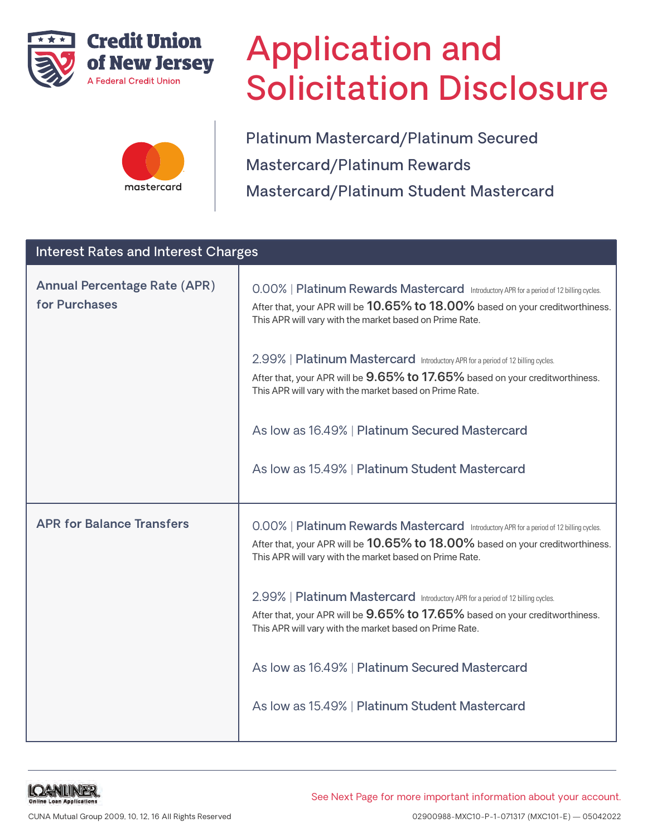



# Application and Solicitation Disclosure

Platinum Mastercard/Platinum Secured Mastercard/Platinum Rewards Mastercard/Platinum Student Mastercard

| <b>Interest Rates and Interest Charges</b>           |                                                                                                                                                                                                                                                                                                                                                                                                                                                                                                                                                                          |  |  |
|------------------------------------------------------|--------------------------------------------------------------------------------------------------------------------------------------------------------------------------------------------------------------------------------------------------------------------------------------------------------------------------------------------------------------------------------------------------------------------------------------------------------------------------------------------------------------------------------------------------------------------------|--|--|
| <b>Annual Percentage Rate (APR)</b><br>for Purchases | 0.00%   Platinum Rewards Mastercard Introductory APR for a period of 12 billing cycles.<br>After that, your APR will be 10.65% to 18.00% based on your creditworthiness.<br>This APR will vary with the market based on Prime Rate.<br>2.99%   Platinum Mastercard Introductory APR for a period of 12 billing cycles.<br>After that, your APR will be 9.65% to 17.65% based on your creditworthiness.<br>This APR will vary with the market based on Prime Rate.<br>As low as 16.49%   Platinum Secured Mastercard<br>As low as 15.49%   Platinum Student Mastercard    |  |  |
| <b>APR for Balance Transfers</b>                     | 0.00%   Platinum Rewards Mastercard Introductory APR for a period of 12 billing cycles.<br>After that, your APR will be 10.65% to 18.00% based on your creditworthiness.<br>This APR will vary with the market based on Prime Rate.<br>2.99%   Platinum Mastercard Introductory APR for a period of 12 billing cycles.<br>After that, your APR will be $9.65\%$ to 17.65% based on your creditworthiness.<br>This APR will vary with the market based on Prime Rate.<br>As low as 16.49%   Platinum Secured Mastercard<br>As low as 15.49%   Platinum Student Mastercard |  |  |

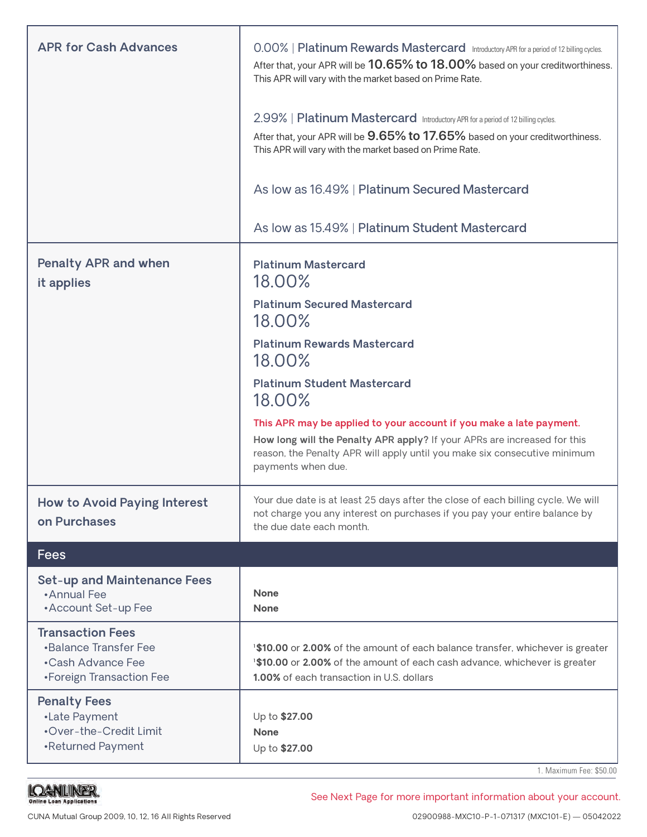| <b>APR for Cash Advances</b>                                                                             | 0.00%   Platinum Rewards Mastercard Introductory APR for a period of 12 billing cycles.<br>After that, your APR will be 10.65% to 18.00% based on your creditworthiness.<br>This APR will vary with the market based on Prime Rate.<br>2.99%   Platinum Mastercard Introductory APR for a period of 12 billing cycles.<br>After that, your APR will be 9.65% to 17.65% based on your creditworthiness.<br>This APR will vary with the market based on Prime Rate. |  |
|----------------------------------------------------------------------------------------------------------|-------------------------------------------------------------------------------------------------------------------------------------------------------------------------------------------------------------------------------------------------------------------------------------------------------------------------------------------------------------------------------------------------------------------------------------------------------------------|--|
|                                                                                                          | As low as 16.49%   Platinum Secured Mastercard                                                                                                                                                                                                                                                                                                                                                                                                                    |  |
|                                                                                                          | As low as 15.49%   Platinum Student Mastercard                                                                                                                                                                                                                                                                                                                                                                                                                    |  |
| <b>Penalty APR and when</b><br>it applies                                                                | <b>Platinum Mastercard</b><br>18.00%<br><b>Platinum Secured Mastercard</b><br>18.00%<br><b>Platinum Rewards Mastercard</b><br>18.00%<br><b>Platinum Student Mastercard</b><br>18.00%<br>This APR may be applied to your account if you make a late payment.<br>How long will the Penalty APR apply? If your APRs are increased for this<br>reason, the Penalty APR will apply until you make six consecutive minimum<br>payments when due.                        |  |
| <b>How to Avoid Paying Interest</b><br>on Purchases                                                      | Your due date is at least 25 days after the close of each billing cycle. We will<br>not charge you any interest on purchases if you pay your entire balance by<br>the due date each month.                                                                                                                                                                                                                                                                        |  |
| <b>Fees</b>                                                                                              |                                                                                                                                                                                                                                                                                                                                                                                                                                                                   |  |
| <b>Set-up and Maintenance Fees</b><br>•Annual Fee<br>• Account Set-up Fee                                | <b>None</b><br><b>None</b>                                                                                                                                                                                                                                                                                                                                                                                                                                        |  |
| <b>Transaction Fees</b><br><b>•Balance Transfer Fee</b><br>•Cash Advance Fee<br>•Foreign Transaction Fee | <b>1\$10.00</b> or 2.00% of the amount of each balance transfer, whichever is greater<br>'\$10.00 or 2.00% of the amount of each cash advance, whichever is greater<br>1.00% of each transaction in U.S. dollars                                                                                                                                                                                                                                                  |  |
| <b>Penalty Fees</b><br>•Late Payment<br>•Over-the-Credit Limit<br>•Returned Payment                      | Up to \$27.00<br><b>None</b><br>Up to \$27.00                                                                                                                                                                                                                                                                                                                                                                                                                     |  |

1. Maximum Fee: \$50.00